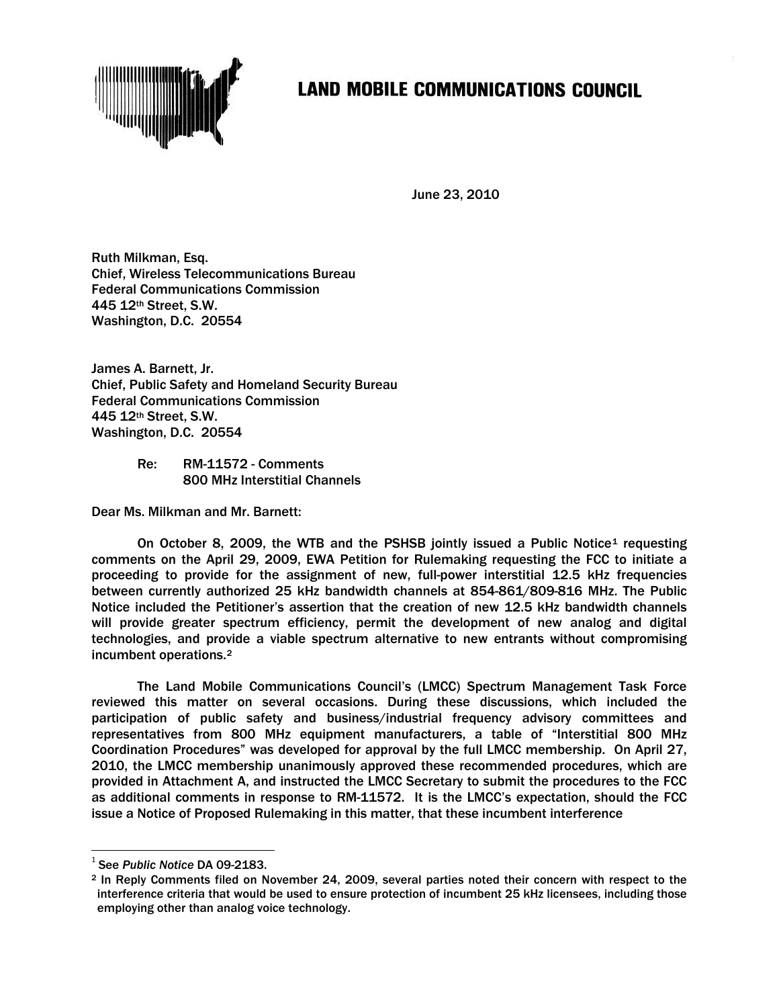

## **LAND MOBILE COMMUNICATIONS COUNCIL**

June 23, 2010

Ruth Milkman, Esq. Chief, Wireless Telecommunications Bureau Federal Communications Commission 445 12th Street, S.W. Washington, D.C. 20554

James A. Barnett, Jr. Chief, Public Safety and Homeland Security Bureau Federal Communications Commission 445 12th Street, S.W. Washington, D.C. 20554

> Re: RM-11572 - Comments 800 MHz Interstitial Channels

Dear Ms. Milkman and Mr. Barnett:

On October 8, 2009, the WTB and the PSHSB jointly issued a Public Notice<sup>[1](#page-0-0)</sup> requesting comments on the April 29, 2009, EWA Petition for Rulemaking requesting the FCC to initiate a proceeding to provide for the assignment of new, full-power interstitial 12.5 kHz frequencies between currently authorized 25 kHz bandwidth channels at 854-861/809-816 MHz. The Public Notice included the Petitioner's assertion that the creation of new 12.5 kHz bandwidth channels will provide greater spectrum efficiency, permit the development of new analog and digital technologies, and provide a viable spectrum alternative to new entrants without compromising incumbent operations[.2](#page-0-1)

The Land Mobile Communications Council's (LMCC) Spectrum Management Task Force reviewed this matter on several occasions. During these discussions, which included the participation of public safety and business/industrial frequency advisory committees and representatives from 800 MHz equipment manufacturers, a table of "Interstitial 800 MHz Coordination Procedures" was developed for approval by the full LMCC membership. On April 27, 2010, the LMCC membership unanimously approved these recommended procedures, which are provided in Attachment A, and instructed the LMCC Secretary to submit the procedures to the FCC as additional comments in response to RM-11572. It is the LMCC's expectation, should the FCC issue a Notice of Proposed Rulemaking in this matter, that these incumbent interference

<span id="page-0-0"></span> <sup>1</sup> See *Public Notice* DA 09-2183.

<span id="page-0-1"></span><sup>2</sup> In Reply Comments filed on November 24, 2009, several parties noted their concern with respect to the interference criteria that would be used to ensure protection of incumbent 25 kHz licensees, including those employing other than analog voice technology.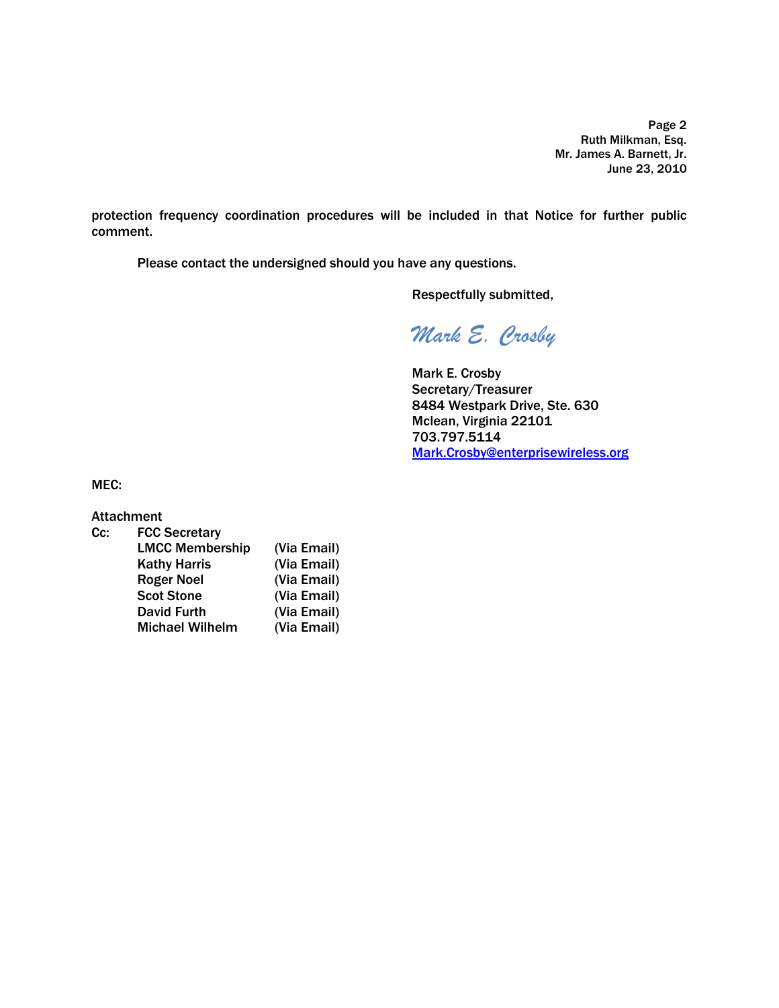Page 2 Ruth Milkman, Esq. Mr. James A. Barnett, Jr. June 23, 2010

protection frequency coordination procedures will be included in that Notice for further public comment.

Please contact the undersigned should you have any questions.

Respectfully submitted,

*Mark E. Crosby*

Mark E. Crosby Secretary/Treasurer 8484 Westpark Drive, Ste. 630 Mclean, Virginia 22101 703.797.5114 [Mark.Crosby@enterprisewireless.org](mailto:Mark.Crosby@enterprisewireless.org)

MEC:

Attachment

| Cc: | <b>FCC Secretary</b>   |             |
|-----|------------------------|-------------|
|     | <b>LMCC Membership</b> | (Via Email) |
|     | <b>Kathy Harris</b>    | (Via Email) |
|     | <b>Roger Noel</b>      | (Via Email) |
|     | <b>Scot Stone</b>      | (Via Email) |
|     | <b>David Furth</b>     | (Via Email) |
|     | <b>Michael Wilhelm</b> | (Via Email) |